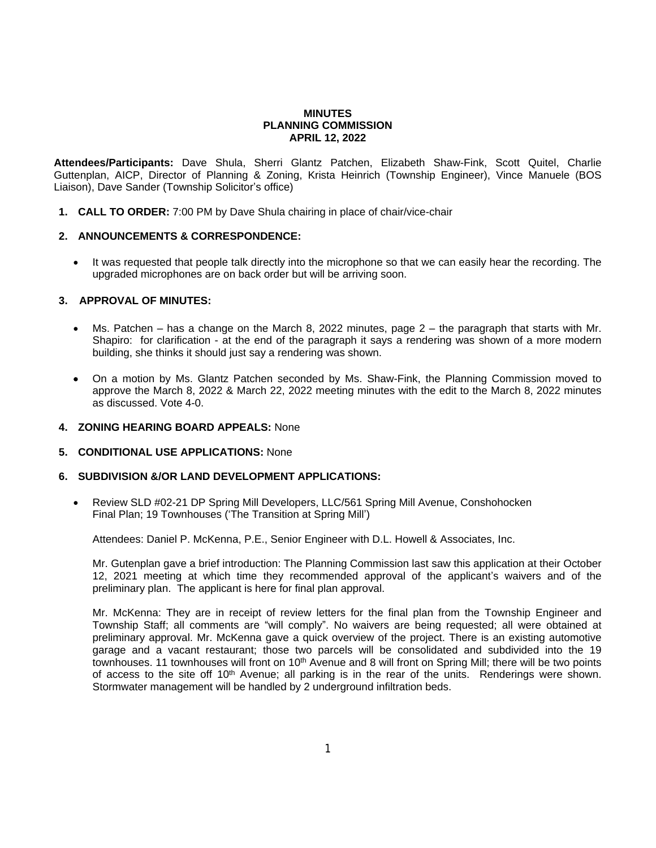### **MINUTES PLANNING COMMISSION APRIL 12, 2022**

**Attendees/Participants:** Dave Shula, Sherri Glantz Patchen, Elizabeth Shaw-Fink, Scott Quitel, Charlie Guttenplan, AICP, Director of Planning & Zoning, Krista Heinrich (Township Engineer), Vince Manuele (BOS Liaison), Dave Sander (Township Solicitor's office)

**1. CALL TO ORDER:** 7:00 PM by Dave Shula chairing in place of chair/vice-chair

## **2. ANNOUNCEMENTS & CORRESPONDENCE:**

• It was requested that people talk directly into the microphone so that we can easily hear the recording. The upgraded microphones are on back order but will be arriving soon.

# **3. APPROVAL OF MINUTES:**

- Ms. Patchen has a change on the March 8, 2022 minutes, page 2 the paragraph that starts with Mr. Shapiro: for clarification - at the end of the paragraph it says a rendering was shown of a more modern building, she thinks it should just say a rendering was shown.
- On a motion by Ms. Glantz Patchen seconded by Ms. Shaw-Fink, the Planning Commission moved to approve the March 8, 2022 & March 22, 2022 meeting minutes with the edit to the March 8, 2022 minutes as discussed. Vote 4-0.

## **4. ZONING HEARING BOARD APPEALS:** None

## **5. CONDITIONAL USE APPLICATIONS:** None

# **6. SUBDIVISION &/OR LAND DEVELOPMENT APPLICATIONS:**

 Review SLD #02-21 DP Spring Mill Developers, LLC/561 Spring Mill Avenue, Conshohocken Final Plan; 19 Townhouses ('The Transition at Spring Mill')

Attendees: Daniel P. McKenna, P.E., Senior Engineer with D.L. Howell & Associates, Inc.

Mr. Gutenplan gave a brief introduction: The Planning Commission last saw this application at their October 12, 2021 meeting at which time they recommended approval of the applicant's waivers and of the preliminary plan. The applicant is here for final plan approval.

Mr. McKenna: They are in receipt of review letters for the final plan from the Township Engineer and Township Staff; all comments are "will comply". No waivers are being requested; all were obtained at preliminary approval. Mr. McKenna gave a quick overview of the project. There is an existing automotive garage and a vacant restaurant; those two parcels will be consolidated and subdivided into the 19 townhouses. 11 townhouses will front on 10<sup>th</sup> Avenue and 8 will front on Spring Mill; there will be two points of access to the site off 10<sup>th</sup> Avenue; all parking is in the rear of the units. Renderings were shown. Stormwater management will be handled by 2 underground infiltration beds.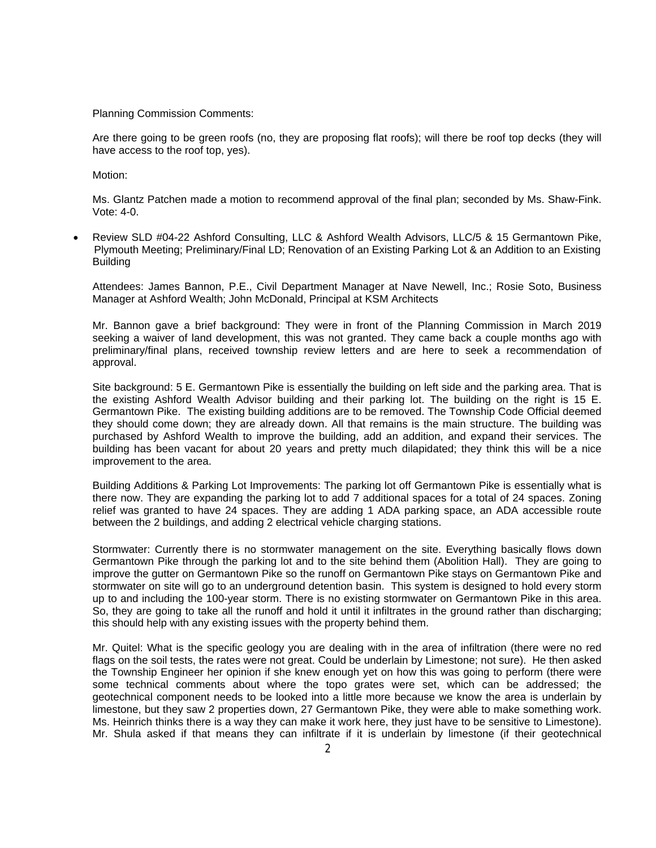Planning Commission Comments:

Are there going to be green roofs (no, they are proposing flat roofs); will there be roof top decks (they will have access to the roof top, yes).

Motion:

Ms. Glantz Patchen made a motion to recommend approval of the final plan; seconded by Ms. Shaw-Fink. Vote: 4-0.

 Review SLD #04-22 Ashford Consulting, LLC & Ashford Wealth Advisors, LLC/5 & 15 Germantown Pike, Plymouth Meeting; Preliminary/Final LD; Renovation of an Existing Parking Lot & an Addition to an Existing **Building** 

Attendees: James Bannon, P.E., Civil Department Manager at Nave Newell, Inc.; Rosie Soto, Business Manager at Ashford Wealth; John McDonald, Principal at KSM Architects

Mr. Bannon gave a brief background: They were in front of the Planning Commission in March 2019 seeking a waiver of land development, this was not granted. They came back a couple months ago with preliminary/final plans, received township review letters and are here to seek a recommendation of approval.

Site background: 5 E. Germantown Pike is essentially the building on left side and the parking area. That is the existing Ashford Wealth Advisor building and their parking lot. The building on the right is 15 E. Germantown Pike. The existing building additions are to be removed. The Township Code Official deemed they should come down; they are already down. All that remains is the main structure. The building was purchased by Ashford Wealth to improve the building, add an addition, and expand their services. The building has been vacant for about 20 years and pretty much dilapidated; they think this will be a nice improvement to the area.

Building Additions & Parking Lot Improvements: The parking lot off Germantown Pike is essentially what is there now. They are expanding the parking lot to add 7 additional spaces for a total of 24 spaces. Zoning relief was granted to have 24 spaces. They are adding 1 ADA parking space, an ADA accessible route between the 2 buildings, and adding 2 electrical vehicle charging stations.

Stormwater: Currently there is no stormwater management on the site. Everything basically flows down Germantown Pike through the parking lot and to the site behind them (Abolition Hall). They are going to improve the gutter on Germantown Pike so the runoff on Germantown Pike stays on Germantown Pike and stormwater on site will go to an underground detention basin. This system is designed to hold every storm up to and including the 100-year storm. There is no existing stormwater on Germantown Pike in this area. So, they are going to take all the runoff and hold it until it infiltrates in the ground rather than discharging; this should help with any existing issues with the property behind them.

Mr. Quitel: What is the specific geology you are dealing with in the area of infiltration (there were no red flags on the soil tests, the rates were not great. Could be underlain by Limestone; not sure). He then asked the Township Engineer her opinion if she knew enough yet on how this was going to perform (there were some technical comments about where the topo grates were set, which can be addressed; the geotechnical component needs to be looked into a little more because we know the area is underlain by limestone, but they saw 2 properties down, 27 Germantown Pike, they were able to make something work. Ms. Heinrich thinks there is a way they can make it work here, they just have to be sensitive to Limestone). Mr. Shula asked if that means they can infiltrate if it is underlain by limestone (if their geotechnical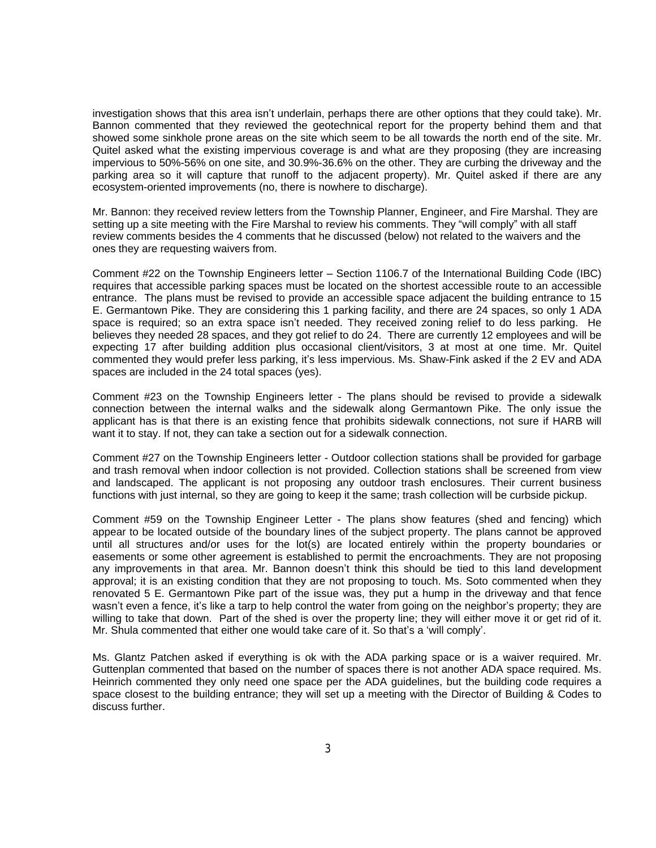investigation shows that this area isn't underlain, perhaps there are other options that they could take). Mr. Bannon commented that they reviewed the geotechnical report for the property behind them and that showed some sinkhole prone areas on the site which seem to be all towards the north end of the site. Mr. Quitel asked what the existing impervious coverage is and what are they proposing (they are increasing impervious to 50%-56% on one site, and 30.9%-36.6% on the other. They are curbing the driveway and the parking area so it will capture that runoff to the adjacent property). Mr. Quitel asked if there are any ecosystem-oriented improvements (no, there is nowhere to discharge).

Mr. Bannon: they received review letters from the Township Planner, Engineer, and Fire Marshal. They are setting up a site meeting with the Fire Marshal to review his comments. They "will comply" with all staff review comments besides the 4 comments that he discussed (below) not related to the waivers and the ones they are requesting waivers from.

Comment #22 on the Township Engineers letter – Section 1106.7 of the International Building Code (IBC) requires that accessible parking spaces must be located on the shortest accessible route to an accessible entrance. The plans must be revised to provide an accessible space adjacent the building entrance to 15 E. Germantown Pike. They are considering this 1 parking facility, and there are 24 spaces, so only 1 ADA space is required; so an extra space isn't needed. They received zoning relief to do less parking. He believes they needed 28 spaces, and they got relief to do 24. There are currently 12 employees and will be expecting 17 after building addition plus occasional client/visitors, 3 at most at one time. Mr. Quitel commented they would prefer less parking, it's less impervious. Ms. Shaw-Fink asked if the 2 EV and ADA spaces are included in the 24 total spaces (yes).

Comment #23 on the Township Engineers letter - The plans should be revised to provide a sidewalk connection between the internal walks and the sidewalk along Germantown Pike. The only issue the applicant has is that there is an existing fence that prohibits sidewalk connections, not sure if HARB will want it to stay. If not, they can take a section out for a sidewalk connection.

Comment #27 on the Township Engineers letter - Outdoor collection stations shall be provided for garbage and trash removal when indoor collection is not provided. Collection stations shall be screened from view and landscaped. The applicant is not proposing any outdoor trash enclosures. Their current business functions with just internal, so they are going to keep it the same; trash collection will be curbside pickup.

Comment #59 on the Township Engineer Letter - The plans show features (shed and fencing) which appear to be located outside of the boundary lines of the subject property. The plans cannot be approved until all structures and/or uses for the lot(s) are located entirely within the property boundaries or easements or some other agreement is established to permit the encroachments. They are not proposing any improvements in that area. Mr. Bannon doesn't think this should be tied to this land development approval; it is an existing condition that they are not proposing to touch. Ms. Soto commented when they renovated 5 E. Germantown Pike part of the issue was, they put a hump in the driveway and that fence wasn't even a fence, it's like a tarp to help control the water from going on the neighbor's property; they are willing to take that down. Part of the shed is over the property line; they will either move it or get rid of it. Mr. Shula commented that either one would take care of it. So that's a 'will comply'.

Ms. Glantz Patchen asked if everything is ok with the ADA parking space or is a waiver required. Mr. Guttenplan commented that based on the number of spaces there is not another ADA space required. Ms. Heinrich commented they only need one space per the ADA guidelines, but the building code requires a space closest to the building entrance; they will set up a meeting with the Director of Building & Codes to discuss further.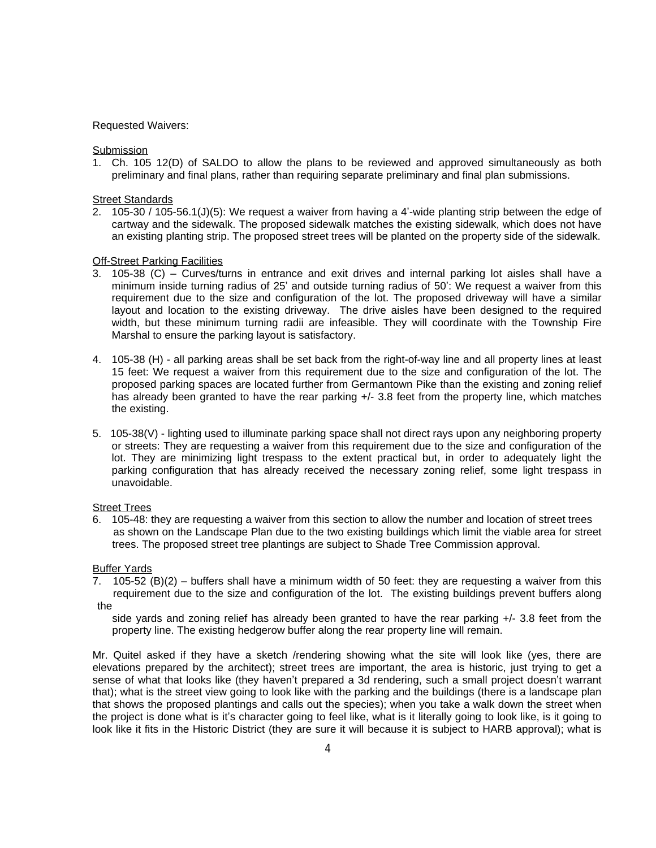### Requested Waivers:

**Submission** 

1. Ch. 105 12(D) of SALDO to allow the plans to be reviewed and approved simultaneously as both preliminary and final plans, rather than requiring separate preliminary and final plan submissions.

#### Street Standards

2. 105-30 / 105-56.1(J)(5): We request a waiver from having a 4'-wide planting strip between the edge of cartway and the sidewalk. The proposed sidewalk matches the existing sidewalk, which does not have an existing planting strip. The proposed street trees will be planted on the property side of the sidewalk.

### **Off-Street Parking Facilities**

- 3. 105-38 (C) Curves/turns in entrance and exit drives and internal parking lot aisles shall have a minimum inside turning radius of 25' and outside turning radius of 50': We request a waiver from this requirement due to the size and configuration of the lot. The proposed driveway will have a similar layout and location to the existing driveway. The drive aisles have been designed to the required width, but these minimum turning radii are infeasible. They will coordinate with the Township Fire Marshal to ensure the parking layout is satisfactory.
- 4. 105-38 (H) all parking areas shall be set back from the right-of-way line and all property lines at least 15 feet: We request a waiver from this requirement due to the size and configuration of the lot. The proposed parking spaces are located further from Germantown Pike than the existing and zoning relief has already been granted to have the rear parking  $+/$ - 3.8 feet from the property line, which matches the existing.
- 5. 105-38(V) lighting used to illuminate parking space shall not direct rays upon any neighboring property or streets: They are requesting a waiver from this requirement due to the size and configuration of the lot. They are minimizing light trespass to the extent practical but, in order to adequately light the parking configuration that has already received the necessary zoning relief, some light trespass in unavoidable.

#### Street Trees

6. 105-48: they are requesting a waiver from this section to allow the number and location of street trees as shown on the Landscape Plan due to the two existing buildings which limit the viable area for street trees. The proposed street tree plantings are subject to Shade Tree Commission approval.

#### Buffer Yards

7. 105-52 (B)(2) – buffers shall have a minimum width of 50 feet: they are requesting a waiver from this requirement due to the size and configuration of the lot. The existing buildings prevent buffers along the

side yards and zoning relief has already been granted to have the rear parking +/- 3.8 feet from the property line. The existing hedgerow buffer along the rear property line will remain.

Mr. Quitel asked if they have a sketch /rendering showing what the site will look like (yes, there are elevations prepared by the architect); street trees are important, the area is historic, just trying to get a sense of what that looks like (they haven't prepared a 3d rendering, such a small project doesn't warrant that); what is the street view going to look like with the parking and the buildings (there is a landscape plan that shows the proposed plantings and calls out the species); when you take a walk down the street when the project is done what is it's character going to feel like, what is it literally going to look like, is it going to look like it fits in the Historic District (they are sure it will because it is subject to HARB approval); what is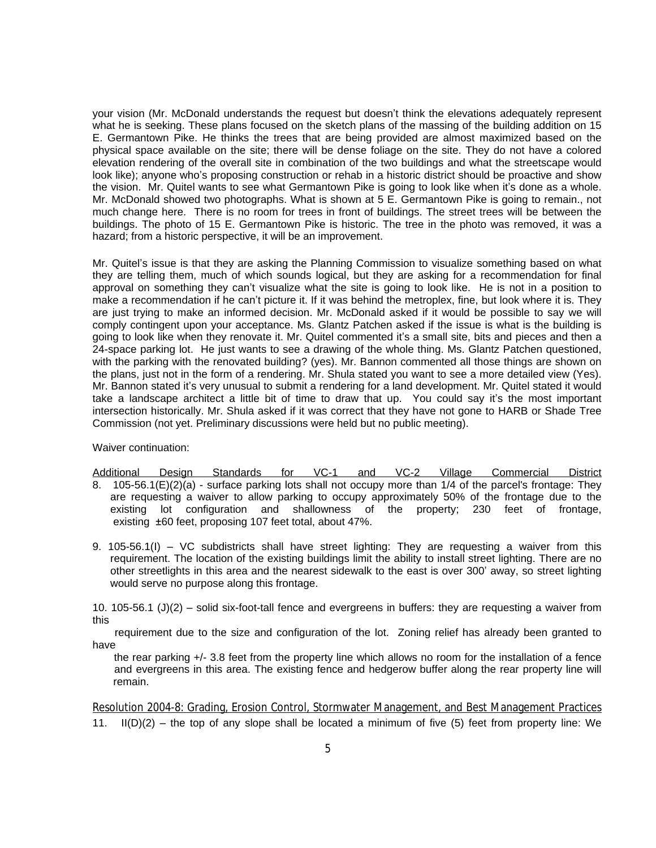your vision (Mr. McDonald understands the request but doesn't think the elevations adequately represent what he is seeking. These plans focused on the sketch plans of the massing of the building addition on 15 E. Germantown Pike. He thinks the trees that are being provided are almost maximized based on the physical space available on the site; there will be dense foliage on the site. They do not have a colored elevation rendering of the overall site in combination of the two buildings and what the streetscape would look like); anyone who's proposing construction or rehab in a historic district should be proactive and show the vision. Mr. Quitel wants to see what Germantown Pike is going to look like when it's done as a whole. Mr. McDonald showed two photographs. What is shown at 5 E. Germantown Pike is going to remain., not much change here. There is no room for trees in front of buildings. The street trees will be between the buildings. The photo of 15 E. Germantown Pike is historic. The tree in the photo was removed, it was a hazard; from a historic perspective, it will be an improvement.

Mr. Quitel's issue is that they are asking the Planning Commission to visualize something based on what they are telling them, much of which sounds logical, but they are asking for a recommendation for final approval on something they can't visualize what the site is going to look like. He is not in a position to make a recommendation if he can't picture it. If it was behind the metroplex, fine, but look where it is. They are just trying to make an informed decision. Mr. McDonald asked if it would be possible to say we will comply contingent upon your acceptance. Ms. Glantz Patchen asked if the issue is what is the building is going to look like when they renovate it. Mr. Quitel commented it's a small site, bits and pieces and then a 24-space parking lot. He just wants to see a drawing of the whole thing. Ms. Glantz Patchen questioned, with the parking with the renovated building? (yes). Mr. Bannon commented all those things are shown on the plans, just not in the form of a rendering. Mr. Shula stated you want to see a more detailed view (Yes). Mr. Bannon stated it's very unusual to submit a rendering for a land development. Mr. Quitel stated it would take a landscape architect a little bit of time to draw that up. You could say it's the most important intersection historically. Mr. Shula asked if it was correct that they have not gone to HARB or Shade Tree Commission (not yet. Preliminary discussions were held but no public meeting).

Waiver continuation:

Additional Design Standards for VC-1 and VC-2 Village Commercial District 8. 105-56.1(E)(2)(a) - surface parking lots shall not occupy more than 1/4 of the parcel's frontage: They are requesting a waiver to allow parking to occupy approximately 50% of the frontage due to the existing lot configuration and shallowness of the property; 230 feet of frontage, existing ±60 feet, proposing 107 feet total, about 47%.

9. 105-56.1(I) – VC subdistricts shall have street lighting: They are requesting a waiver from this requirement. The location of the existing buildings limit the ability to install street lighting. There are no other streetlights in this area and the nearest sidewalk to the east is over 300' away, so street lighting would serve no purpose along this frontage.

10. 105-56.1 (J)(2) – solid six-foot-tall fence and evergreens in buffers: they are requesting a waiver from this

requirement due to the size and configuration of the lot. Zoning relief has already been granted to have

the rear parking +/- 3.8 feet from the property line which allows no room for the installation of a fence and evergreens in this area. The existing fence and hedgerow buffer along the rear property line will remain.

Resolution 2004-8: Grading, Erosion Control, Stormwater Management, and Best Management Practices 11.  $I(D)(2)$  – the top of any slope shall be located a minimum of five (5) feet from property line: We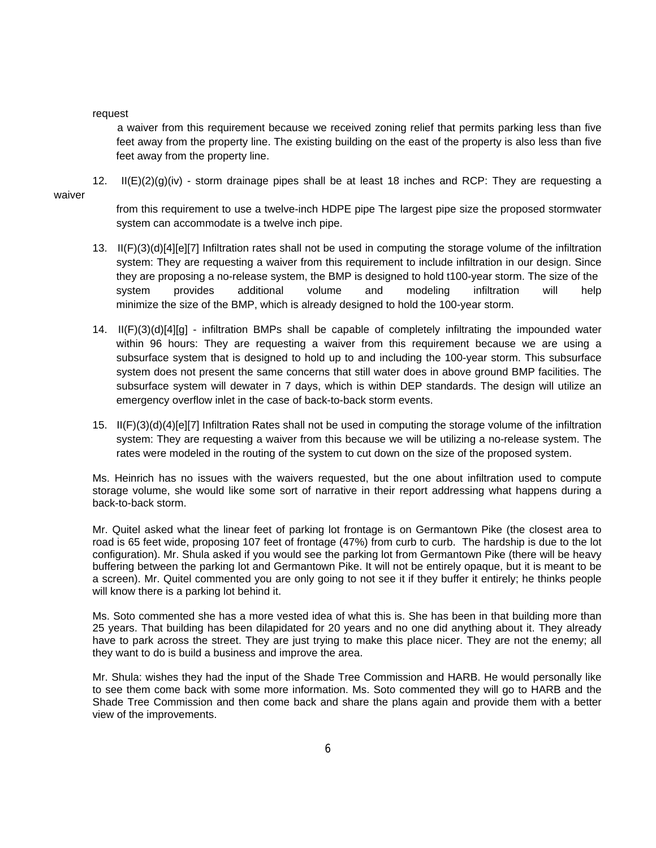#### request

a waiver from this requirement because we received zoning relief that permits parking less than five feet away from the property line. The existing building on the east of the property is also less than five feet away from the property line.

12. II(E)(2)(g)(iv) - storm drainage pipes shall be at least 18 inches and RCP: They are requesting a

from this requirement to use a twelve-inch HDPE pipe The largest pipe size the proposed stormwater system can accommodate is a twelve inch pipe.

- 13. II(F)(3)(d)[4][e][7] Infiltration rates shall not be used in computing the storage volume of the infiltration system: They are requesting a waiver from this requirement to include infiltration in our design. Since they are proposing a no-release system, the BMP is designed to hold t100-year storm. The size of the system provides additional volume and modeling infiltration will help minimize the size of the BMP, which is already designed to hold the 100-year storm.
- 14. II(F)(3)(d)[4][g] infiltration BMPs shall be capable of completely infiltrating the impounded water within 96 hours: They are requesting a waiver from this requirement because we are using a subsurface system that is designed to hold up to and including the 100-year storm. This subsurface system does not present the same concerns that still water does in above ground BMP facilities. The subsurface system will dewater in 7 days, which is within DEP standards. The design will utilize an emergency overflow inlet in the case of back-to-back storm events.
- 15. II(F)(3)(d)(4)[e][7] Infiltration Rates shall not be used in computing the storage volume of the infiltration system: They are requesting a waiver from this because we will be utilizing a no-release system. The rates were modeled in the routing of the system to cut down on the size of the proposed system.

Ms. Heinrich has no issues with the waivers requested, but the one about infiltration used to compute storage volume, she would like some sort of narrative in their report addressing what happens during a back-to-back storm.

Mr. Quitel asked what the linear feet of parking lot frontage is on Germantown Pike (the closest area to road is 65 feet wide, proposing 107 feet of frontage (47%) from curb to curb. The hardship is due to the lot configuration). Mr. Shula asked if you would see the parking lot from Germantown Pike (there will be heavy buffering between the parking lot and Germantown Pike. It will not be entirely opaque, but it is meant to be a screen). Mr. Quitel commented you are only going to not see it if they buffer it entirely; he thinks people will know there is a parking lot behind it.

Ms. Soto commented she has a more vested idea of what this is. She has been in that building more than 25 years. That building has been dilapidated for 20 years and no one did anything about it. They already have to park across the street. They are just trying to make this place nicer. They are not the enemy; all they want to do is build a business and improve the area.

Mr. Shula: wishes they had the input of the Shade Tree Commission and HARB. He would personally like to see them come back with some more information. Ms. Soto commented they will go to HARB and the Shade Tree Commission and then come back and share the plans again and provide them with a better view of the improvements.

waiver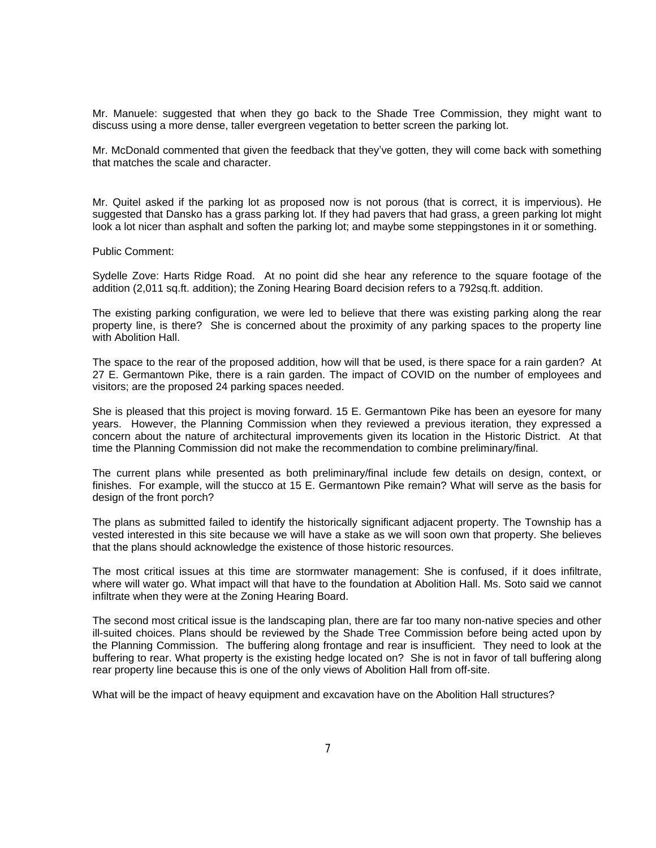Mr. Manuele: suggested that when they go back to the Shade Tree Commission, they might want to discuss using a more dense, taller evergreen vegetation to better screen the parking lot.

Mr. McDonald commented that given the feedback that they've gotten, they will come back with something that matches the scale and character.

Mr. Quitel asked if the parking lot as proposed now is not porous (that is correct, it is impervious). He suggested that Dansko has a grass parking lot. If they had pavers that had grass, a green parking lot might look a lot nicer than asphalt and soften the parking lot; and maybe some steppingstones in it or something.

Public Comment:

Sydelle Zove: Harts Ridge Road. At no point did she hear any reference to the square footage of the addition (2,011 sq.ft. addition); the Zoning Hearing Board decision refers to a 792sq.ft. addition.

The existing parking configuration, we were led to believe that there was existing parking along the rear property line, is there? She is concerned about the proximity of any parking spaces to the property line with Abolition Hall.

The space to the rear of the proposed addition, how will that be used, is there space for a rain garden? At 27 E. Germantown Pike, there is a rain garden. The impact of COVID on the number of employees and visitors; are the proposed 24 parking spaces needed.

She is pleased that this project is moving forward. 15 E. Germantown Pike has been an eyesore for many years. However, the Planning Commission when they reviewed a previous iteration, they expressed a concern about the nature of architectural improvements given its location in the Historic District. At that time the Planning Commission did not make the recommendation to combine preliminary/final.

The current plans while presented as both preliminary/final include few details on design, context, or finishes. For example, will the stucco at 15 E. Germantown Pike remain? What will serve as the basis for design of the front porch?

The plans as submitted failed to identify the historically significant adjacent property. The Township has a vested interested in this site because we will have a stake as we will soon own that property. She believes that the plans should acknowledge the existence of those historic resources.

The most critical issues at this time are stormwater management: She is confused, if it does infiltrate, where will water go. What impact will that have to the foundation at Abolition Hall. Ms. Soto said we cannot infiltrate when they were at the Zoning Hearing Board.

The second most critical issue is the landscaping plan, there are far too many non-native species and other ill-suited choices. Plans should be reviewed by the Shade Tree Commission before being acted upon by the Planning Commission. The buffering along frontage and rear is insufficient. They need to look at the buffering to rear. What property is the existing hedge located on? She is not in favor of tall buffering along rear property line because this is one of the only views of Abolition Hall from off-site.

What will be the impact of heavy equipment and excavation have on the Abolition Hall structures?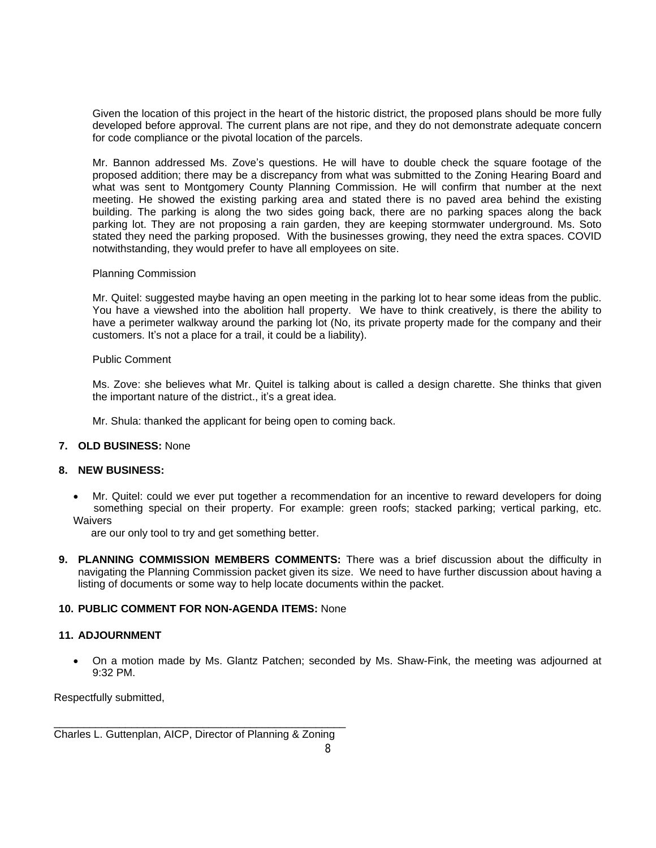Given the location of this project in the heart of the historic district, the proposed plans should be more fully developed before approval. The current plans are not ripe, and they do not demonstrate adequate concern for code compliance or the pivotal location of the parcels.

Mr. Bannon addressed Ms. Zove's questions. He will have to double check the square footage of the proposed addition; there may be a discrepancy from what was submitted to the Zoning Hearing Board and what was sent to Montgomery County Planning Commission. He will confirm that number at the next meeting. He showed the existing parking area and stated there is no paved area behind the existing building. The parking is along the two sides going back, there are no parking spaces along the back parking lot. They are not proposing a rain garden, they are keeping stormwater underground. Ms. Soto stated they need the parking proposed. With the businesses growing, they need the extra spaces. COVID notwithstanding, they would prefer to have all employees on site.

### Planning Commission

Mr. Quitel: suggested maybe having an open meeting in the parking lot to hear some ideas from the public. You have a viewshed into the abolition hall property. We have to think creatively, is there the ability to have a perimeter walkway around the parking lot (No, its private property made for the company and their customers. It's not a place for a trail, it could be a liability).

### Public Comment

Ms. Zove: she believes what Mr. Quitel is talking about is called a design charette. She thinks that given the important nature of the district., it's a great idea.

Mr. Shula: thanked the applicant for being open to coming back.

## **7. OLD BUSINESS:** None

### **8. NEW BUSINESS:**

 Mr. Quitel: could we ever put together a recommendation for an incentive to reward developers for doing something special on their property. For example: green roofs; stacked parking; vertical parking, etc. **Waivers** 

are our only tool to try and get something better.

**9. PLANNING COMMISSION MEMBERS COMMENTS:** There was a brief discussion about the difficulty in navigating the Planning Commission packet given its size. We need to have further discussion about having a listing of documents or some way to help locate documents within the packet.

# **10. PUBLIC COMMENT FOR NON-AGENDA ITEMS:** None

# **11. ADJOURNMENT**

 On a motion made by Ms. Glantz Patchen; seconded by Ms. Shaw-Fink, the meeting was adjourned at 9:32 PM.

Respectfully submitted,

\_\_\_\_\_\_\_\_\_\_\_\_\_\_\_\_\_\_\_\_\_\_\_\_\_\_\_\_\_\_\_\_\_\_\_\_\_\_\_\_\_\_\_\_\_\_\_\_\_ Charles L. Guttenplan, AICP, Director of Planning & Zoning